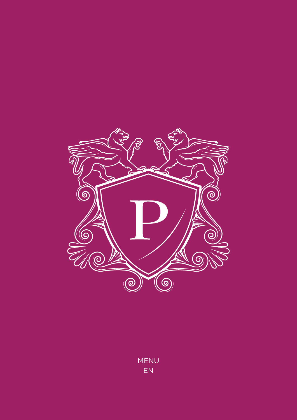

MENU EN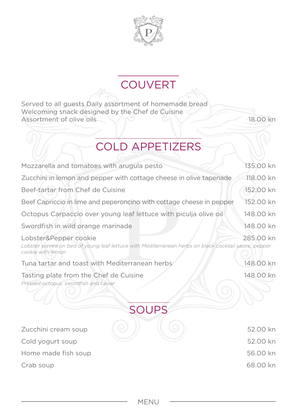

#### **COUVERT**

Served to all guests Daily assortment of homemade bread Welcoming snack designed by the Chef de Cuisine Assortment of olive oils 18.00 kn

## COLD APPETIZERS

| Mozzarella and tomatoes with arugula pesto                                                                                                         | 135.00 kn |
|----------------------------------------------------------------------------------------------------------------------------------------------------|-----------|
| Zucchini in lemon and pepper with cottage cheese in olive tapenade                                                                                 | 118.00 kn |
| Beef-tartar from Chef de Cuisine                                                                                                                   | 152.00 kn |
| Beef Capriccio in lime and peperoncino with cottage cheese in pepper                                                                               | 152.00 kn |
| Octopus Carpaccio over young leaf lettuce with piculja olive oil                                                                                   | 148.00 kn |
| Swordfish in wild orange marinade                                                                                                                  | 148,00 kn |
| Lobster&Pepper cookie<br>Lobster served on bed of young leaf lettuce with Mediterranean herbs on black cocktail sauce, pepper<br>cookie with lemon | 285.00 kn |
| Tuna tartar and toast with Mediterranean herbs                                                                                                     | 148.00 kn |
| Tasting plate from the Chef de Cuisine<br>Pressed octopus, swordfish and caviar                                                                    | 148.00 kn |
| <b>SOUPS</b>                                                                                                                                       |           |
| Zucchini cream soup                                                                                                                                | 52.00 kn  |
| Cold yogurt soup                                                                                                                                   | 52.00 kn  |
| Home made fish soup                                                                                                                                | 56.00 kn  |
| Crab soup                                                                                                                                          | 68.00 kn  |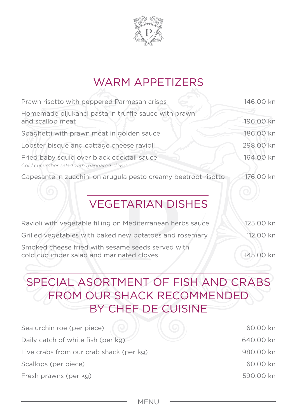

### WARM APPETIZERS

| Prawn risotto with peppered Parmesan crisps                                             | 146.00 kn |
|-----------------------------------------------------------------------------------------|-----------|
| Homemade pljukanci pasta in truffle sauce with prawn<br>and scallop meat                | 196.00 kn |
| Spaghetti with prawn meat in golden sauce                                               | 186.00 kn |
| Lobster bisque and cottage cheese ravioli                                               | 298.00 kn |
| Fried baby squid over black cocktail sauce<br>Cold cucumber salad with marinated cloves | 164.00 kn |
| Capesante in zucchini on arugula pesto creamy beetroot risotto                          | 176.00 kn |
|                                                                                         |           |

# VEGETARIAN DISHES

| Ravioli with vegetable filling on Mediterranean herbs sauce | 125.00 kn |
|-------------------------------------------------------------|-----------|
| Grilled vegetables with baked new potatoes and rosemary     | 112,00 kn |
| Smoked cheese fried with sesame seeds served with           |           |
| cold cucumber salad and marinated cloves                    | 145.00 kn |

#### SPECIAL ASORTMENT OF FISH AND CRABS FROM OUR SHACK RECOMMENDED BY CHEF DE CUISINE

| 60.00 kn  |
|-----------|
| 640.00 kn |
| 980,00 kn |
| 60.00 kn  |
| 590.00 kn |
|           |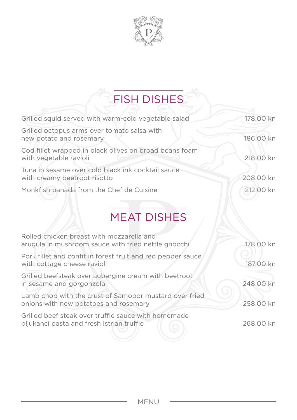

# FISH DISHES

| Grilled squid served with warm-cold vegetable salad                               | 178.00 kn |
|-----------------------------------------------------------------------------------|-----------|
| Grilled octopus arms over tomato salsa with<br>new potato and rosemary            | 186.00 kn |
| Cod fillet wrapped in black olives on broad beans foam<br>with vegetable ravioli  | 218.00 kn |
| Tuna in sesame over cold black ink cocktail sauce<br>with creamy beetroot risotto | 208.00 kn |
| Monkfish panada from the Chef de Cuisine                                          | 212.00 kn |
|                                                                                   |           |

# MEAT DISHES

| Rolled chicken breast with mozzarella and<br>arugula in mushroom sauce with fried nettle gnocchi | 178.00 kn |
|--------------------------------------------------------------------------------------------------|-----------|
| Pork fillet and confit in forest fruit and red pepper sauce<br>with cottage cheese ravioli       | 187.00 kn |
| Grilled beefsteak over aubergine cream with beetroot<br>in sesame and gorgonzola                 | 248.00 kn |
| Lamb chop with the crust of Samobor mustard over fried<br>onions with new potatoes and rosemary  | 258.00 kn |
| Grilled beef steak over truffle sauce with homemade<br>pljukanci pasta and fresh Istrian truffle | 268.00 kn |